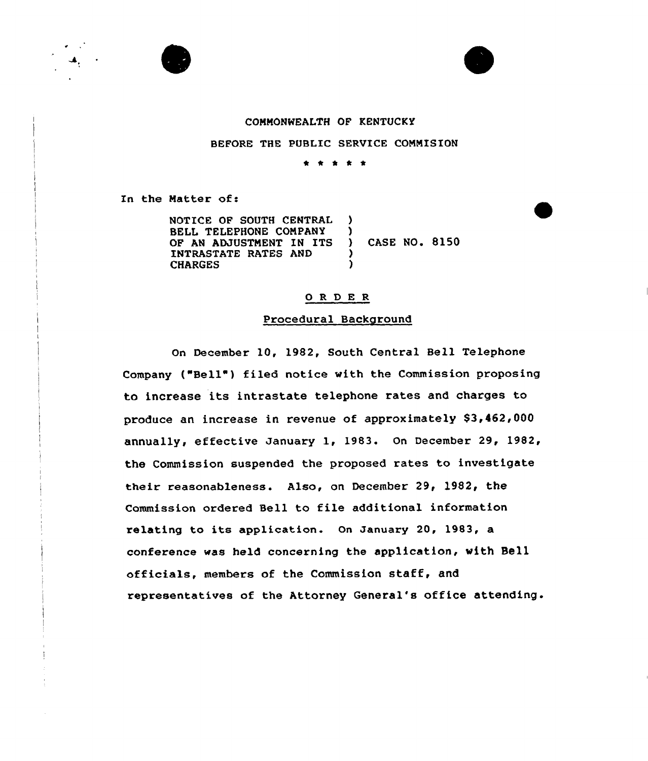





#### COMMONWEALTH OF KENTUCKY

BEFORE THE PUBLIC SERVICE COMMISION

\* \* \* \*

In the Matter of:

NOTICE OF SOUTH CENTRAL ) BELL TELEPHONE COMPANY )<br>OF AN ADJUSTMENT IN ITS ) OF AN ADJUSTMENT IN ITS ) CASE NO. 8150 INTRASTATE RATES AND (FIARGES) **CHARGES** 

#### 0 R <sup>D</sup> E <sup>R</sup>

#### Procedural Background

On December 10, 1982, South Central Bell Telephone Company ("Bell") filed notice with the Commission proposing to increase its intrastate telephone rates and charges to produce an increase in revenue of approximately \$3,462,000 annually, effective January 1, 1983. On December 29, 1982, the Commission suspended the proposed rates to investigate their reasonableness. Also, on December 29, 1982, the Commission ordered Sell to file additional information relating to its application. On January 20, 1983, a conference was held concerning the application, with Bell officials, members of the Commission staff, and representatives of the Attorney General's office attending.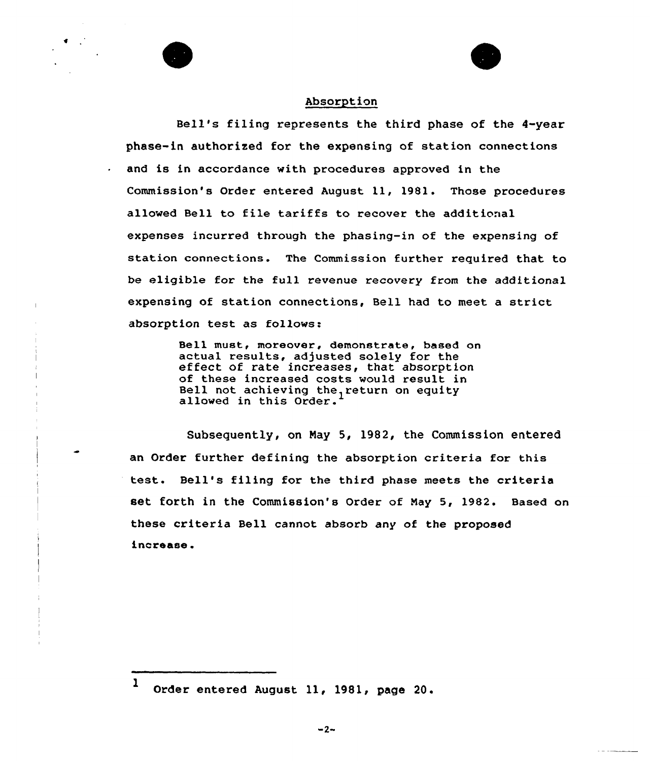



#### Absorption

Bell's filing represents the third phase of the 4-year phase-in authorized for the expensing of station connections  $\cdot$  and is in accordance with procedures approved in the Commission's Order entered August 11, 1981. Those procedures allowed Bell to file tariffs to recover the additional expenses incurred through the phasing-in of the expensing of station connections. The Commission further required that to be eligible for the full revenue recovery from the additional expensing of station connections, Bell had to meet a strict absorption test as follows:

> Sell must, moreover, demonstrate, based on actual results, adjusted solely for the<br>effect of rate increases, that absorption<br>of these increased costs would result in of these increased costs would result in Bell not achieving the return on equity building the controlling chere.

Subsequently, on Nay 5, 1982, the Commission entered an Order further defining the absorption criteria for this test. Bell's filing for the third phase meets the criteria set forth in the Commission's Order of Nay 5, 1982. Based on these criteria Bell cannot absorb any of the proposed increase.

<sup>1</sup> Order entered August ll, 1981, page 20.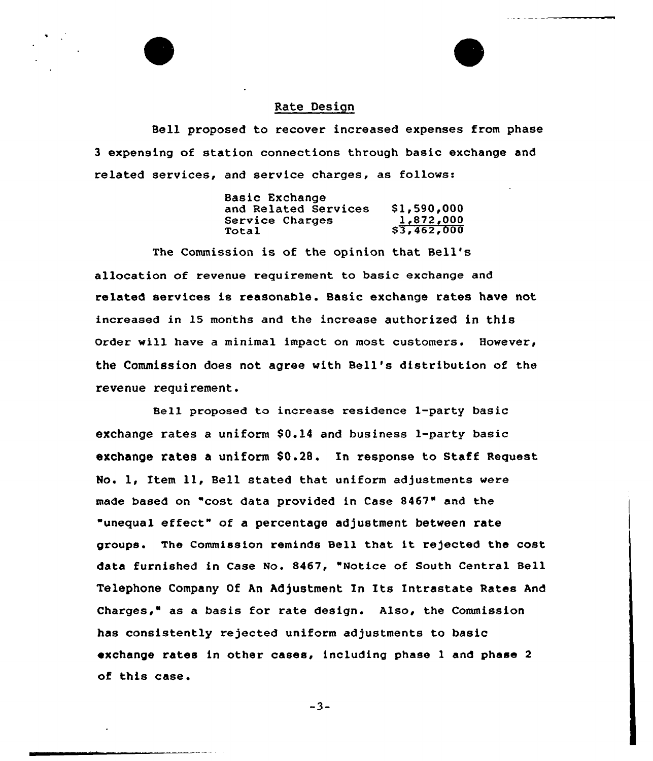### Rate Design

Bell proposed to recover increased expenses from phase 3 expensing of station connections through basic exchange and related services, and service charges, as follows:

| Basic Exchange       |             |
|----------------------|-------------|
| and Related Services | \$1,590,000 |
| Service Charges      | 1,872,000   |
| Total                | \$3,462,000 |

The Commission is of the opinion that Bell' allocation of revenue requirement to basic exchange and related services is reasonable. Basic exchange rates have not increased in 15 months and the increase authorized in this Order will have a minimal impact on most customers. However, the Commission does not agree with Bell's distribution of the revenue requirement.

Bell proposed to increase residence 1-party basic exchange rates a uniform  $$0.14$  and business l-party basic exchange rates a uniform \$0.28. In response to Staff Request No. 1, Item 11, Bell stated that uniform adjustments were made based on "cost data provided in Case 8467" and the "unequal effect" of a percentage adjustment between rate groups. The Commission reminds Bell that it re)ected the cost data furnished in Case No. 8467, "Notice of South Central Bell Telephone Company Of An Adjustment In Its Intrastate Rates And Charges," as a basis for rate design. Also, the Commission has consistently rejected uniform adjustments to basic exchange rates in other cases, including phase <sup>1</sup> and phase <sup>2</sup> of this case.

 $-3-$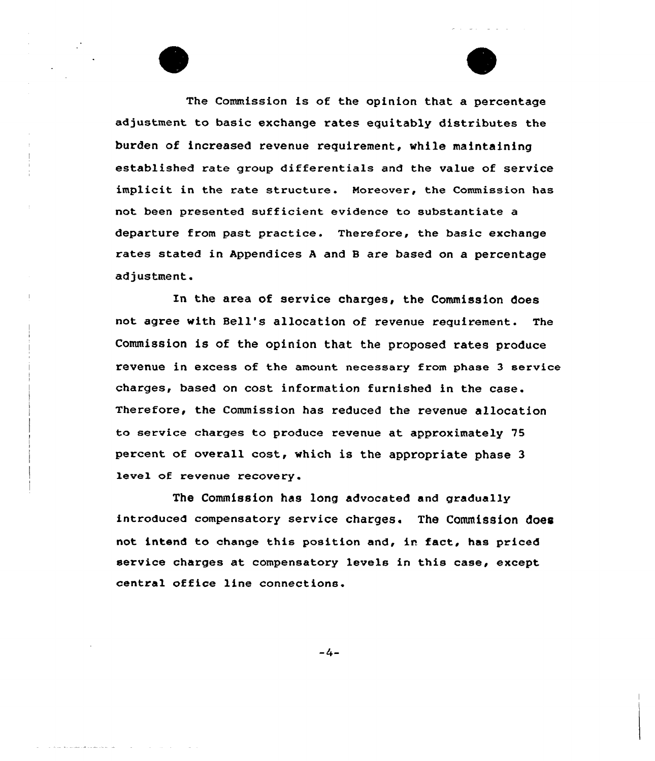The Commission is of the opinion that a percentage adjustment to basic exchange rates equitably distributes the burden of increased revenue requirement, while maintaining established rate group differentials and the value of service implicit in the rate structure. Moreover, the Commission has not been presented sufficient evidence to substantiate a departure from past practice. Therefore, the basic exchange rates stated in Appendices <sup>A</sup> and <sup>B</sup> are based on a percentage adjustment.

In the area of service charges, the Commission does not agree with Bell's allocation of revenue requirement. The Commission is of the opinion that the proposed rates produce revenue in excess of the amount necessary from phase 3 service charges, based on cost information furnished in the case. Therefore, the Commission has reduced the revenue allocation to service charges to produce revenue at approximately 75 percent of overall cost, which is the appropriate phase 3 level of revenue recovery.

The Commission has long advocated and gradually introduced compensatory service charges. The Commission does not intend to change this position and, in fact, has priced service charges at compensatory levels in this case, except central office line connections.

 $-4-$ 

المتواصل والمستوقف للمستوقف والمرابط المترابين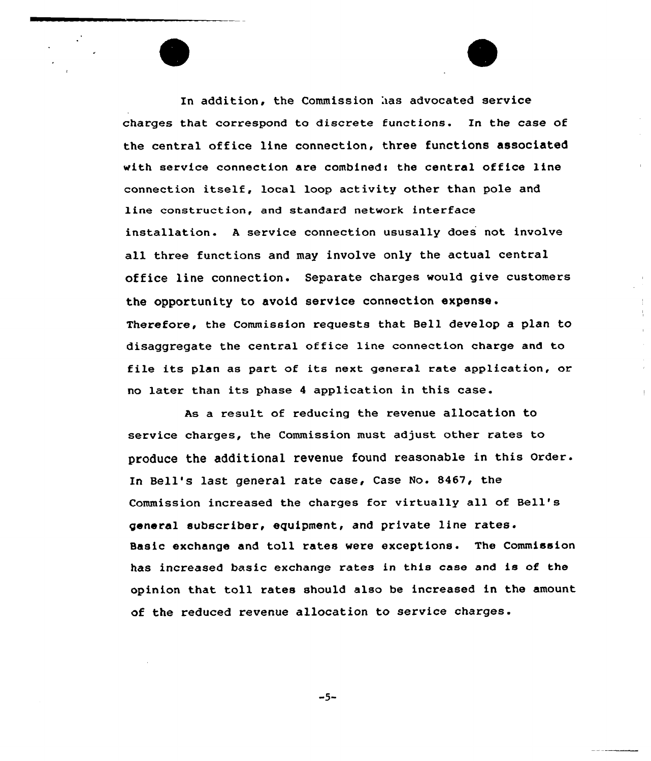In addition, the Commission has advocated service charges that correspond to discrete functions. In the case of the central office line connection, three functions associated with service connection are combined: the central office line connection itself, local loop activity other than pole and line construction, and standard network interface installation. <sup>A</sup> service connection ususally does not involve all three functions and may involve only the actual central office line connection. Separate charges would give customers the opportunity to avoid service connection expense. Therefore, the Commission requests that Bell develop a plan to disaggregate the central office line connection charge and to file its plan as part of its next general rate application, or no later than its phase <sup>4</sup> application in this case.

As a result of reducing the revenue allocation to service charges, the Commission must adjust other rates to produce the additional revenue found reasonable in this Order. In Bell's last general rate case, Case No. 8467, the Commission increased the charges for virtually all of Bell' general subscriber, equipment, and private line rates. Basic exchange and toll rates were exceptions. The Commission has increased basic exchange rates in this case and is of the opinion that toll rates should also be increased in the amount of the reduced revenue allocation to service charges.

 $-5-$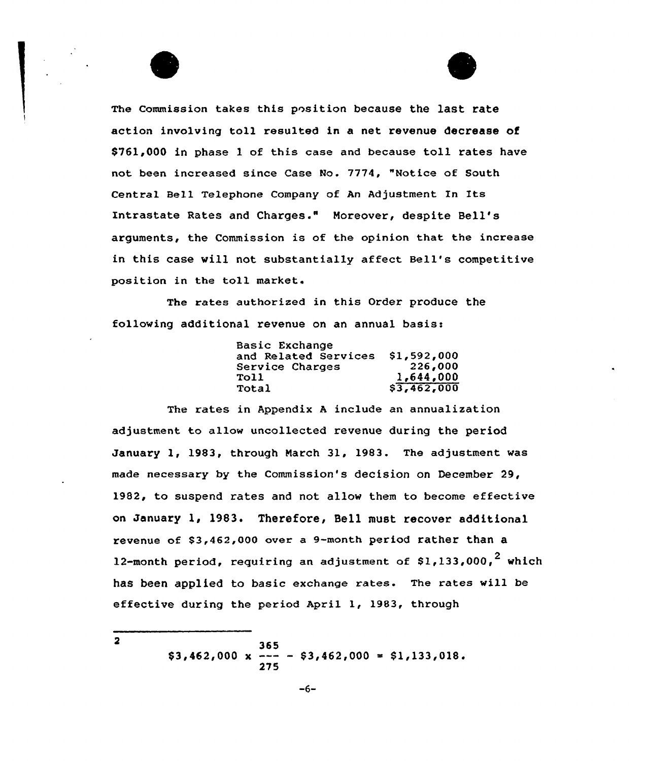

The rates authorized in this Order produce the following additional revenue on an annual basis:

| Basic Exchange       |             |
|----------------------|-------------|
| and Related Services | \$1,592,000 |
| Service Charges      | 226,000     |
| Toll                 | 1,644,000   |
| Total                | \$3,462,000 |

The rates in Appendix <sup>A</sup> include an annualization adjustment to allow uncollected revenue during the period January 1, 1983, through March 31, 1983. The adjustment vas made necessary by the Commission's decision on December 29, 1982, to suspend rates and not allow them to become effective on January 1, 1983. Therefore, Bell must recover additional revenue of \$3,462,000 over a 9-month period rather than a 12-month period, requiring an adjustment of \$1,133,000,<sup>2</sup> which has been applied to basic exchange rates. The rates vill be effective during the period April 1, 1983, through

> 365  $$3,462,000 \times --- - $3,462,000 = $1,133,018.$ 275

```
\overline{2}
```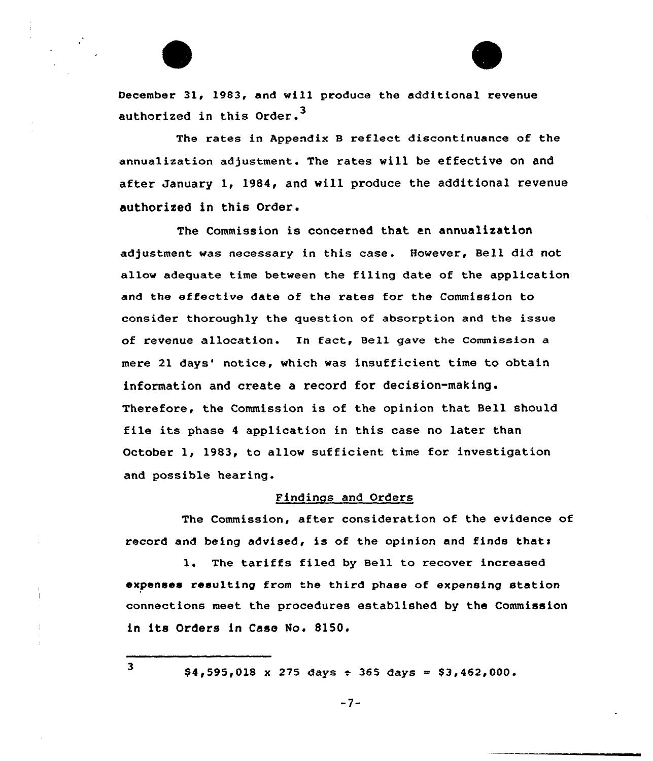

The rates in Appendix <sup>B</sup> reflect discontinuance of the annualization adjustment. The rates will be effective on and after January 1, 1984, and vill produce the additional revenue authorized in this Order.

The Commission is concerned that an annualization adjustment was necessary in this case. However, Bell did not allow adequate time between the filing date of the application and the effective date of the rates for the Commission to consider thoroughly the question of absorption and the issue of revenue allocation. In fact, Bell gave the Commission a mere 21 days' notice, which was insufficient time to obtain information and create a record for decision-making. Therefore, the Commission is of the opinion that Bell should file its phase <sup>4</sup> application in this case no later than October 1, 1983, to allow sufficient time for investigation and possible hearing.

#### Findings and Orders

The Commission, after consideration of the evidence of record and being advised, is of the opinion and finds thats

l. The tariffs filed by Bell to recover increased expenses resulting from the third phase of expensing station connections meet the procedures established by the Commission in its Orders in Case No. S150.

 $$4,595,018 \times 275 \text{ days} \div 365 \text{ days} = $3,462,000.$ 

 $\overline{\mathbf{3}}$ 

-7-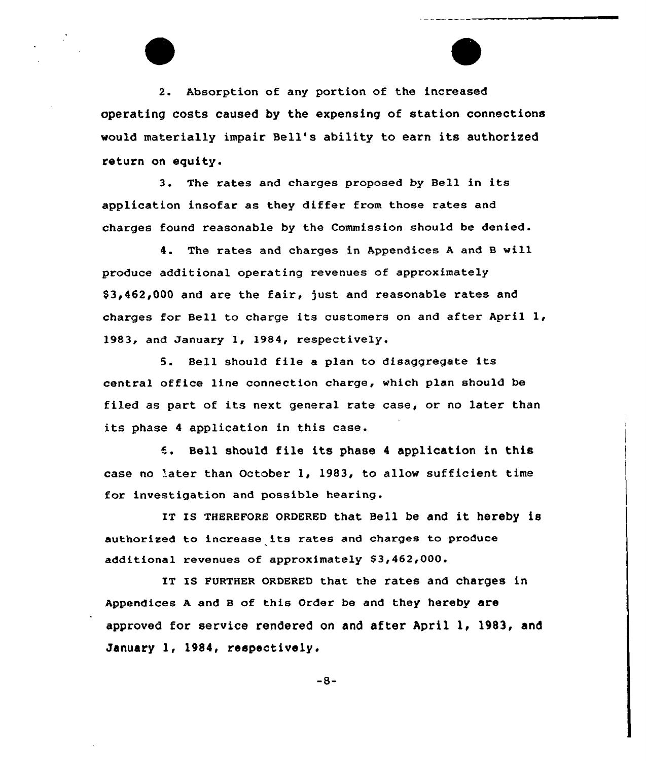2. Absorption of any portion of the increased operating costs caused by the expensing of station connections would materially impair Bell's ability to earn its authorised return on equity.

3. The rates and charges proposed by Bell in its application insofar as they differ from those rates and charges found reasonable by the Commission should be denied.

4. The rates and charges in Appendices <sup>A</sup> and <sup>B</sup> will produce additional operating revenues of approximately \$ 3,462,000 and are the fair, )ust and reasonable rates and charges for Bell to charge its customers on and after April 1, 1983, and January l, l984, respectively.

5. Bell should file a plan to disaggregate its central office line connection charge, which plan should be filed as part of its next general rate case, or no later than its phase <sup>4</sup> application in this case.

Bell should file its phase <sup>4</sup> application in this case no later than October 1, 1983, to allow sufficient time for investigation and possible hearing.

IT IS THEREFORE ORDERED that Bell be and it hereby is authorised to increase its rates and charges to produce additional revenues of approximately \$3,462,000.

IT Is FURTHER oRDERED that the rates and charges in Appendices <sup>A</sup> and <sup>B</sup> of this Order be and they hereby are approved for service rendered on and after April 1, 1983, and January 1, 1984, respectively.

 $-8-$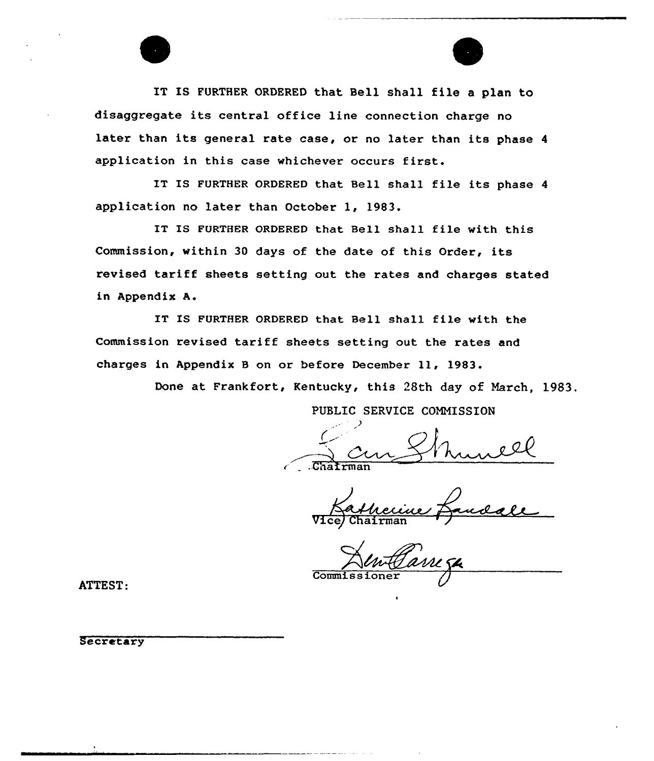

IT IS FURTHER ORDERED that Bell shall file a plan to disaggregate its central office line connection charge no later than its general rate case, or no later than its phase <sup>4</sup> application in this case whichever occurs first.

IT IS FURTHER ORDERED that Bell shall file its phase <sup>4</sup> application no later than October 1, 1983.

IT IS FURTHER ORDERED that Bell. shall file with this Commission, within <sup>30</sup> days of the date of this Order, its revised tariff sheets setting out the rates and charges stated in Appendix A.

IT IS FURTHER ORDERED that Bell shall file with the Commission revised tariff sheets setting out the rates and charges in Appendix <sup>B</sup> on or before December 11, 1983.

Done at Frankfort, Kentucky, this 28th day of March, 1983.

PUBLIC SERVICE COMMISSION

Vice/ Chairman

Commis

ATTEST:

**Secretary**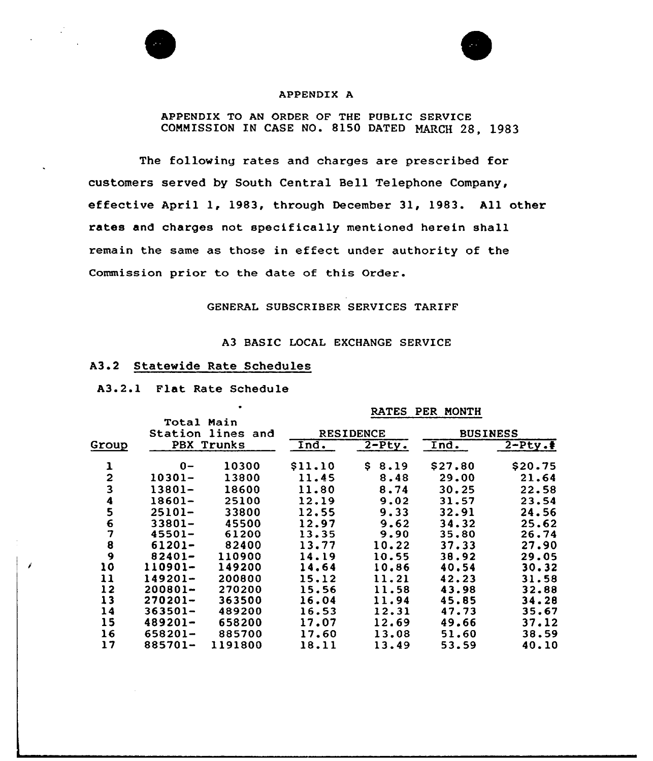

#### APPENDIX A

#### APPENDIX TO AN ORDER OF THE PUBLIC SERVICE COMMISSION IN CASE NO. 8150 DATED MARCH 28, 1983

The following rates and charges are prescribed for customers served by South Central Hell Telephone Company, effective April 1, 1983, through December 31, 1983. All other rates and charges not specifically mentioned herein shall remain the same as those in effect under authority of the Commission prior to the date of this Order.

#### GENERAL SUBSCRIBER SERVICES TARIFF

#### A3 BASIC LOCAL EXCHANGE SERVICE

#### A3.2 Statewide Rate Schedules

A3.2.1 Flat Rate Schedule

#### RATES PER MONTH

|                         | <b>Total Main</b> |                  |         |                 |         |          |
|-------------------------|-------------------|------------------|---------|-----------------|---------|----------|
| Station lines<br>and    |                   | <b>RESIDENCE</b> |         | <b>BUSINESS</b> |         |          |
| Group                   |                   | PBX Trunks       | Ind.    | $2-Pty.$        | Ind.    | $2-Pty.$ |
| 1                       | $0 -$             | 10300            | \$11.10 | S.<br>8.19      | \$27.80 | \$20.75  |
| $\overline{2}$          | 10301-            | 13800            | 11.45   | 8.48            | 29.00   | 21.64    |
| $\overline{\mathbf{3}}$ | 13801-            | 18600            | 11.80   | 8.74            | 30.25   | 22.58    |
| 4                       | 18601-            | 25100            | 12.19   | 9.02            | 31.57   | 23.54    |
| 5                       | 25101-            | 33800            | 12.55   | 9.33            | 32.91   | 24.56    |
| 6                       | $33801 -$         | 45500            | 12.97   | 9.62            | 34.32   | 25.62    |
| 7                       | $45501 -$         | 61200            | 13.35   | 9.90            | 35.80   | 26.74    |
| 8                       | $61201 -$         | 82400            | 13.77   | 10.22           | 37.33   | 27.90    |
| 9                       | $82401 -$         | 110900           | 14.19   | 10.55           | 38.92   | 29.05    |
| 10                      | 110901-           | 149200           | 14.64   | 10.86           | 40.54   | 30.32    |
| 11                      | 149201-           | 200800           | 15.12   | 11.21           | 42.23   | 31.58    |
| 12                      | 200801-           | 270200           | 15.56   | 11.58           | 43.98   | 32.88    |
| 13                      | 270201-           | 363500           | 16.04   | 11.94           | 45.85   | 34.28    |
| 14                      | $363501 -$        | 489200           | 16.53   | 12.31           | 47.73   | 35.67    |
| 15                      | 489201-           | 658200           | 17.07   | 12.69           | 49.66   | 37.12    |
| 16                      | 658201-           | 885700           | 17.60   | 13.08           | 51.60   | 38.59    |
| 17                      | 885701-           | 1191800          | 18.11   | 13.49           | 53.59   | 40.10    |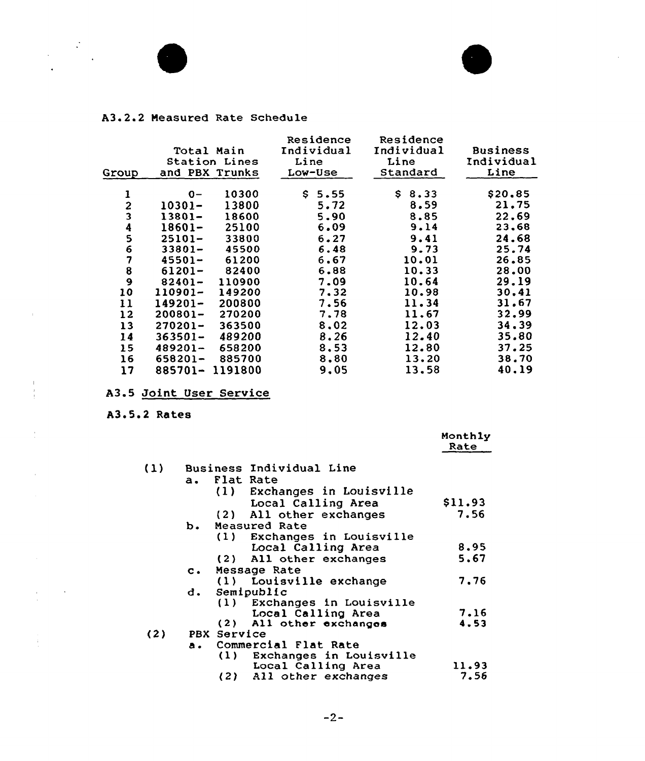

 $\sim 40^{\circ}$ 

 $\mathbb{F}_2$  $\frac{1}{4}$  .

÷

 $\frac{1}{2}$ 



### A3. 2. <sup>2</sup> Neasured Rate Schedule

| Group  | Total Main<br>and PBX Trunks | Station Lines | Residence<br>Individual<br>Line<br>Low-Use | Residence<br>Individual<br>Line<br>Standard | <b>Business</b><br>Individual<br>Line |
|--------|------------------------------|---------------|--------------------------------------------|---------------------------------------------|---------------------------------------|
| ı      | $0 -$                        | 10300         | S.<br>5.55                                 | 8.33<br>S.                                  | \$20,85                               |
|        | 10301-                       | 13800         | 5.72                                       | 8.59                                        | 21,75                                 |
|        | $13801 -$                    | 18600         | 5.90                                       | 8.85                                        | 22,69                                 |
| 234567 | 18601-                       | 25100         | 6.09                                       | 9.14                                        | 23,68                                 |
|        | $25101 -$                    | 33800         | 6.27                                       | 9.41                                        | 24.68                                 |
|        | $33801 -$                    | 45500         | 6.48                                       | 9.73                                        | 25.74                                 |
|        | $45501 -$                    | 61200         | 6.67                                       | 10.01                                       | 26.85                                 |
| 8      | 61201-                       | 82400         | 6.88                                       | 10.33                                       | 28.00                                 |
| 9      | $82401 -$                    | 110900        | 7.09                                       | 10.64                                       | 29.19                                 |
| 10     | 110901-                      | 149200        | 7.32                                       | 10.98                                       | 30.41                                 |
| 11     | $149201 -$                   | 200800        | 7.56                                       | 11.34                                       | 31.67                                 |
| 12     | $200801 -$                   | 270200        | 7.78                                       | 11.67                                       | 32.99                                 |
| 13     | $270201 -$                   | 363500        | 8,02                                       | 12.03                                       | 34.39                                 |
| 14     | $363501 -$                   | 489200        | 8.26                                       | 12.40                                       | 35.80                                 |
| 15     | 489201-                      | 658200        | 8.53                                       | 12.80                                       | 37.25                                 |
| 16     | 658201-                      | 885700        | 8.80                                       | 13.20                                       | 38.70                                 |
| 17     | 885701-                      | 1191800       | 9.05                                       | 13.58                                       | 40.19                                 |

A3.5 <u>Joint User Service</u>

A3.5.2 Rates

|     |                |     |                             | Monthly<br>Rate |
|-----|----------------|-----|-----------------------------|-----------------|
| (1) |                |     | Business Individual Line    |                 |
|     | $a_{\bullet}$  |     | Flat Rate                   |                 |
|     |                |     | (1) Exchanges in Louisville |                 |
|     |                |     | Local Calling Area          | \$11.93         |
|     |                |     | (2) All other exchanges     | 7.56            |
|     | ь.             |     | Measured Rate               |                 |
|     |                |     | (1) Exchanges in Louisville |                 |
|     |                |     | Local Calling Area          | 8.95            |
|     |                |     | (2) All other exchanges     | 5.67            |
|     | $\mathbf{c}$ . |     | Message Rate                |                 |
|     |                |     | (1) Louisville exchange     | 7.76            |
|     | d.             |     | Semipublic                  |                 |
|     |                |     | (1) Exchanges in Louisville |                 |
|     |                |     | Local Calling Area          | 7.16            |
|     |                |     | (2) All other exchanges     | 4.53            |
| (2) | PBX Service    |     |                             |                 |
|     | a.,            |     | Commercial Flat Rate        |                 |
|     |                | (1) | Exchanges in Louisville     |                 |
|     |                |     | Local Calling Area          | 11.93           |
|     |                |     | (2) All other exchanges     | 7.56            |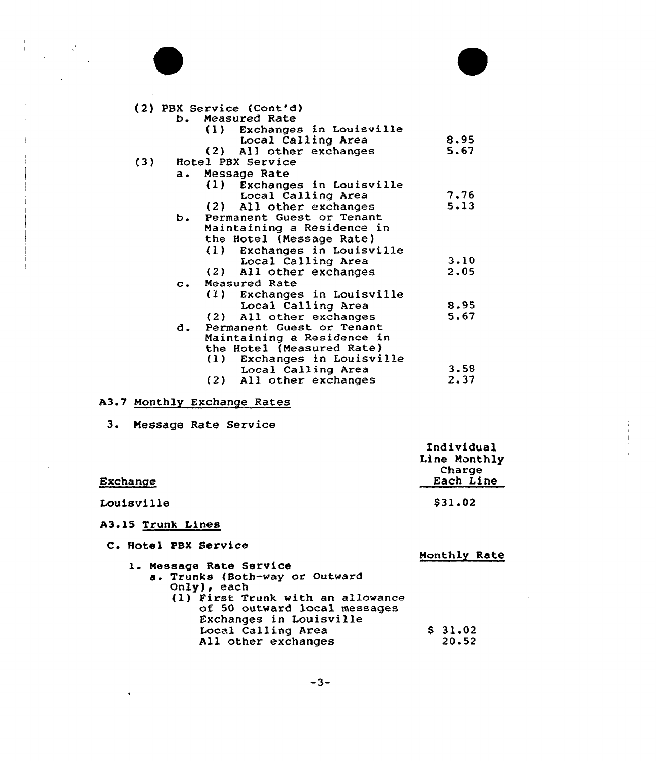

 $\mathbb{Z}_2$ 



|                | (2) PBX Service (Cont'd)       |      |
|----------------|--------------------------------|------|
| b.             | Measured Rate                  |      |
|                | (1) Exchanges in Louisville    |      |
|                | Local Calling Area             | 8.95 |
|                | (2) All other exchanges        | 5.67 |
| (3)            | Hotel PBX Service              |      |
| $\mathbf{a}$ . | Message Rate                   |      |
|                | (1) Exchanges in Louisville    |      |
|                | Local Calling Area             | 7.76 |
|                | (2) All other exchanges        | 5.13 |
| ь.             | Permanent Guest or Tenant      |      |
|                | Maintaining a Residence in     |      |
|                | the Hotel (Message Rate)       |      |
|                | Exchanges in Louisville<br>(1) |      |
|                | Local Calling Area             | 3.10 |
|                | (2) All other exchanges        | 2.05 |
| $\mathbf{c}$ . | Measured Rate                  |      |
|                | (1) Exchanges in Louisville    |      |
|                | Local Calling Area             | 8.95 |
|                | All other exchanges<br>(2)     | 5.67 |
| d.             | Permanent Guest or Tenant      |      |
|                | Maintaining a Residence in     |      |
|                | the Hotel (Measured Rate)      |      |
|                | Exchanges in Louisville<br>(1) |      |
|                | Local Calling Area             | 3.58 |
|                | (2) All other exchanges        | 2.37 |

## A3.7 Monthly Exchange Rates

3. Message Rate Service

|            | Individual<br>Line Monthly |
|------------|----------------------------|
| Exchange   | Charge<br>Each Line        |
| Louisville | \$31.02                    |

# A3.l5 Trunk Lines

 $\sim$ 

|  | C. Hotel PBX Service |
|--|----------------------|
|  |                      |

| . <i></i>                         | Monthly Rate |
|-----------------------------------|--------------|
| 1. Message Rate Service           |              |
| a. Trunks (Both-way or Outward    |              |
| $Only$ , each                     |              |
| (1) First Trunk with an allowance |              |
| of 50 outward local messages      |              |
| Exchanges in Louisville           |              |
| Local Calling Area                | \$31.02      |
| All other exchanges               | 20.52        |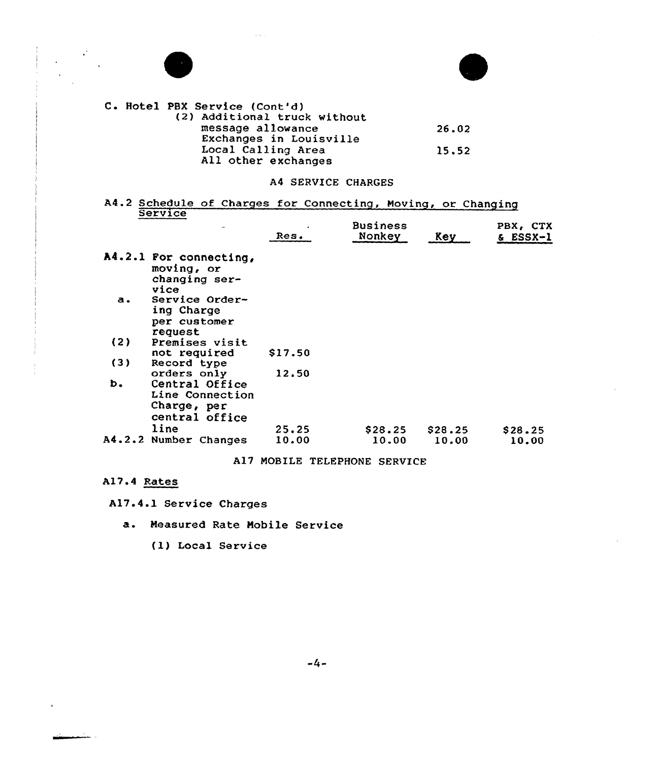

 $\mathcal{L}^{\mathcal{L}}$ 



C. Hotel PBX Service (Cont'd) (2) Additional truck without message allowance Exchanges in Louisville Local Calling Area All other exchanges 26.02 15.52

### A4 SERVICE CHARGES

A4.2 Schedule of Charges for Connecting, Moving, or Changing Service

| $\ddotsc$                                                          | Res.                                       | <b>Business</b><br>Nonkey | Key     | PBX, CTX<br>& ESSX-1 |
|--------------------------------------------------------------------|--------------------------------------------|---------------------------|---------|----------------------|
| A4.2.1 For connecting,<br>moving, or<br>changing ser-<br>vice      |                                            |                           |         |                      |
| Service Order-<br>ing Charge<br>per customer<br>request            |                                            |                           |         |                      |
| Premises visit                                                     |                                            |                           |         |                      |
|                                                                    |                                            |                           |         |                      |
|                                                                    |                                            |                           |         |                      |
| Central Office<br>Line Connection<br>Charge, per<br>central office |                                            |                           |         |                      |
| line                                                               | 25.25                                      | \$28.25                   | \$28.25 | \$28.25              |
| Number Changes                                                     | 10.00                                      | 10.00                     | 10.00   | 10.00                |
|                                                                    | not required<br>Record type<br>orders only | \$17.50<br>12.50          |         |                      |

A17 MOBILE TELEPHONE SERVICE

### A17.4 Rates

A17.4.1 Service Charges

- a. Measured Rate Mobile Service
	- (1) Local Service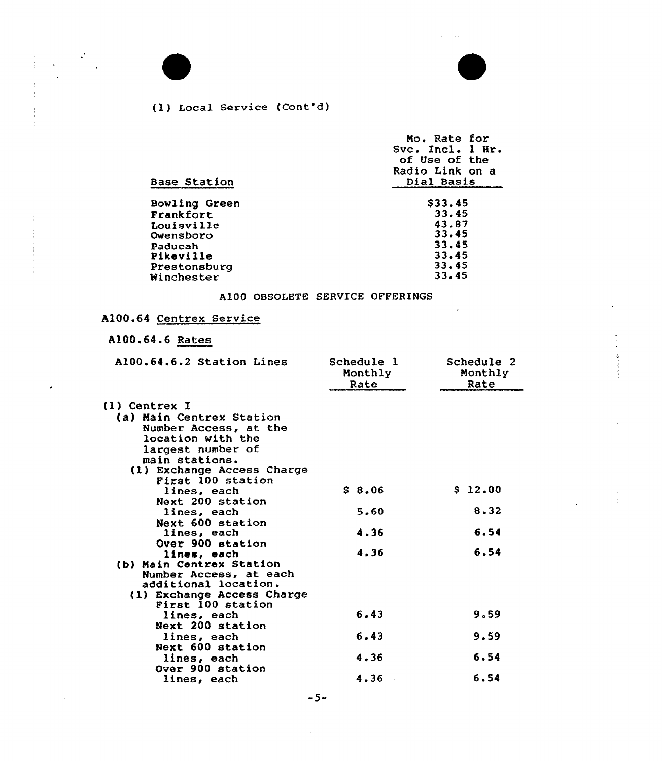والمتعاص كتكم كمراج

 $\overline{\phantom{a}}$ 



 $\frac{1}{2} \left( \frac{1}{2} \frac{d^2}{dx^2} \right)$ 

 $\mathcal{A}_\mathrm{c} = \mathcal{A}_\mathrm{c} = \mathcal{A}$ 

### (1) Local Service (Cont'd)

| Mo. Rate for<br>Svc. Incl. 1 Hr.<br>of Use of the<br>Radio Link on a<br>Dial Basis |
|------------------------------------------------------------------------------------|
|                                                                                    |
| \$33.45                                                                            |
| 33.45                                                                              |
| 43.87                                                                              |
| 33.45                                                                              |
| 33.45                                                                              |
| 33.45                                                                              |
| 33.45                                                                              |
| 33.45                                                                              |
|                                                                                    |

### A100 OBSOLETE SERVICE OFFERINGS

# A100.64 Centrex Service

# A100.64.6 Rates

| A100.64.6.2 Station Lines                                                                         | Schedule 1<br>Monthly<br>Rate | Schedule 2<br>Monthly<br>Rate |
|---------------------------------------------------------------------------------------------------|-------------------------------|-------------------------------|
| <b>(1) Centrex I</b>                                                                              |                               |                               |
| (a) Main Centrex Station<br>Number Access, at the<br>location with the<br>largest number of       |                               |                               |
| main stations.<br>(1) Exchange Access Charge<br>First 100 station                                 |                               |                               |
| lines, each<br>Next 200 station                                                                   | \$8.06                        | \$12.00                       |
| lines, each                                                                                       | 5.60                          | 8.32                          |
| Next 600 station<br>lines, each                                                                   | 4.36                          | 6.54                          |
| Over 900 station<br>lines, each<br>(b) Main Centrex Station                                       | 4.36                          | 6.54                          |
| Number Access, at each<br>additional location.<br>(1) Exchange Access Charge<br>First 100 station |                               |                               |
| lines, each<br>Next 200 station                                                                   | 6.43                          | 9.59                          |
| lines, each                                                                                       | 6.43                          | 9.59                          |
| Next 600 station<br>lines, each                                                                   | 4.36                          | 6.54                          |
| Over 900 station<br>lines, each                                                                   | 4.36                          | 6.54                          |

-5-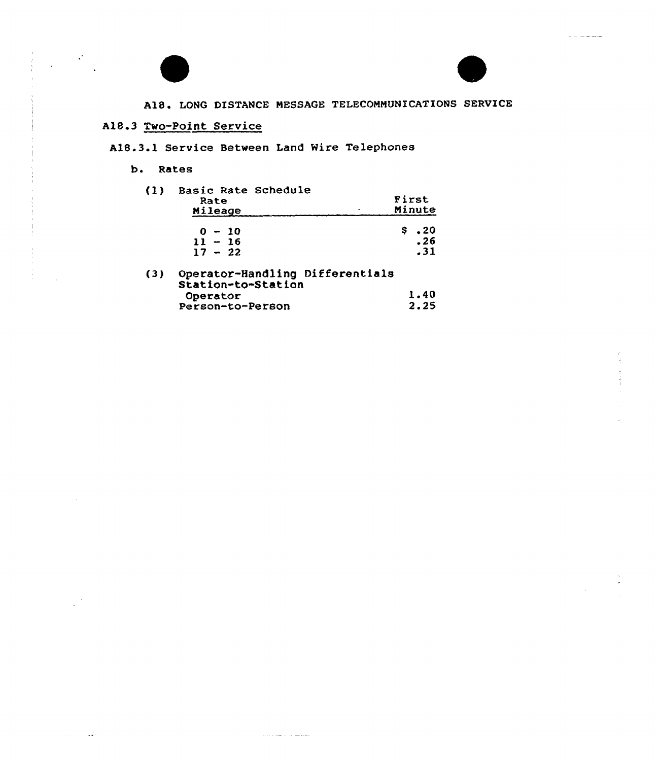Ia



 $\mathcal{L}(\mathcal{L})$ 

 $\mathcal{L}(\mathcal{L}) = \mathcal{L}(\mathcal{L})$ 

 $\hat{\mathbf{v}}$ 

A18. LONG DISTANCE MESSAGE TELECOMMUNICATIONS SERVICE

## A18.3 Two-Point Service

A18.3.1 Service Between Land Wire Telephones

#### b. Rates

| (1) | Basic Rate Schedule<br>Rate<br>Mileage                | First<br>Minute              |
|-----|-------------------------------------------------------|------------------------------|
|     | $0 - 10$<br>$11 - 16$                                 | $\bm{\cdot}$ 20<br>Ş.<br>.26 |
|     | $17 - 22$                                             | .31                          |
| (3) | Operator-Handling Differentials<br>Station-to-Station |                              |
|     | Operator                                              | 1.40                         |
|     | Person-to-Person                                      | 2.25                         |

 $\sim$  10  $\pm$  10  $\pm$  1000  $\pm$  1000  $\pm$  1000  $\pm$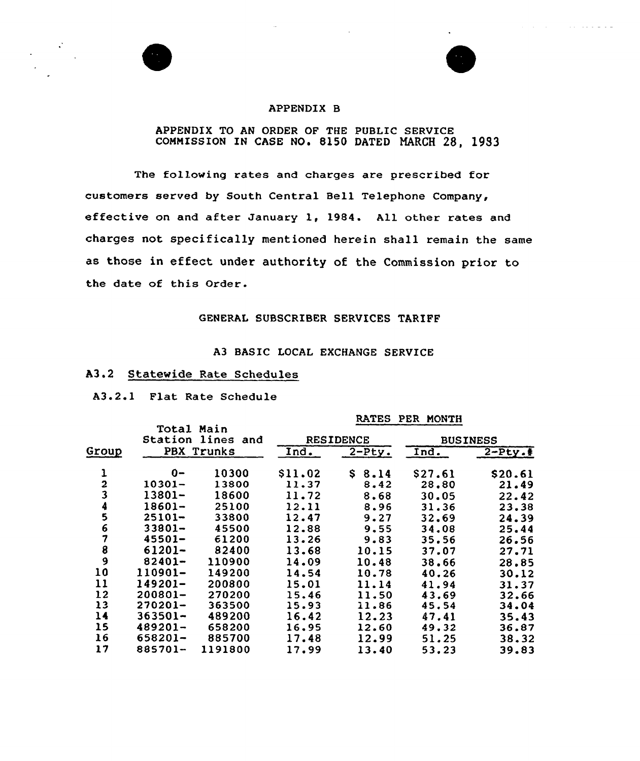

 $\mathcal{O}(\mathcal{A})$  , and  $\mathcal{O}(\mathcal{A})$  , and  $\mathcal{O}(\mathcal{A})$  , and  $\mathcal{A}=\mathcal{A}$ 

#### APPENDIX B

#### APPENDIX TO AN ORDER OF THE PUBLIC SERVICE COMMISSION IN CASE NO. 8150 DATED MARCH 28, 1983

The following rates and charges are prescribed for customers served by South Central Bell Telephone Company, effective on and after January 1, 1984. All other rates and charges not specifically mentioned herein shall remain the same as those in effect under authority of the Commission prior to the date of this Order.

#### GENERAL SUBSCRIBER SERVICES TARIFF

### A3 BASIC LOCAL EXCHANGE SERVICE

#### A3.2 Statewide Rate Schedules

A3.2.1 Flat Rate Schedule

#### RATES PER MONTH

|                | Total Main<br>Station lines<br>and |            | <b>RESIDENCE</b> |          | <b>BUSINESS</b>     |          |  |
|----------------|------------------------------------|------------|------------------|----------|---------------------|----------|--|
| Group          |                                    | PBX Trunks | Ind.             | $2-Pty.$ | Ind.                | $2-Pty.$ |  |
| ı              | 0-                                 | 10300      | \$11.02          | \$8.14   | S <sub>27</sub> .61 | \$20.61  |  |
|                | $10301 -$                          | 13800      | 11.37            | 8.42     | 28.80               | 21.49    |  |
| $\frac{2}{3}$  | 13801-                             | 18600      | 11.72            | 8.68     | 30.05               | 22.42    |  |
| 4              | $18601 -$                          | 25100      | 12.11            | 8.96     | 31.36               | 23.38    |  |
| 5              | $25101 -$                          | 33800      | 12.47            | 9.27     | 32.69               | 24.39    |  |
| 6              | $33801 -$                          | 45500      | 12.88            | 9.55     | 34.08               | 25.44    |  |
| $\overline{7}$ | $45501 -$                          | 61200      | 13.26            | 9.83     | 35.56               | 26.56    |  |
| 8              | $61201 -$                          | 82400      | 13.68            | 10.15    | 37.07               | 27.71    |  |
| 9              | $82401 -$                          | 110900     | 14.09            | 10.48    | 38.66               | 28.85    |  |
| 10             | 110901-                            | 149200     | 14.54            | 10.78    | 40.26               | 30.12    |  |
| 11             | 149201-                            | 200800     | 15.01            | 11.14    | 41.94               | 31.37    |  |
| 12             | $200801 -$                         | 270200     | 15.46            | 11.50    | 43.69               | 32.66    |  |
| 13             | $270201 -$                         | 363500     | 15.93            | 11.86    | 45.54               | 34.04    |  |
| 14             | $363501 -$                         | 489200     | 16.42            | 12.23    | 47.41               | 35.43    |  |
| 15             | $489201 -$                         | 658200     | 16.95            | 12.60    | 49.32               | 36.87    |  |
| 16             | 658201-                            | 885700     | 17.48            | 12.99    | 51.25               | 38.32    |  |
| 17             | 885701-                            | 1191800    | 17.99            | 13.40    | 53.23               | 39.83    |  |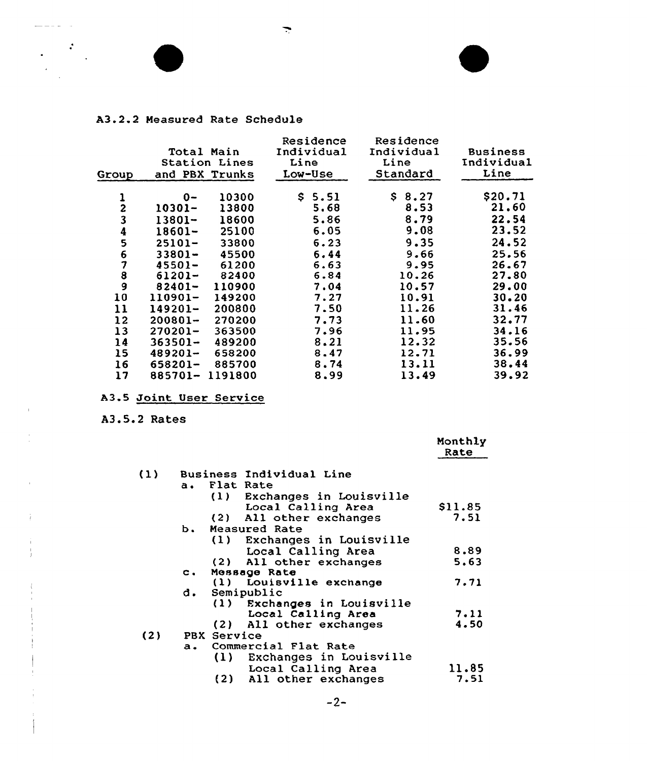### A3. 2. <sup>2</sup> Measured Rate Schedule

 $\frac{1}{2}$  and  $\frac{1}{2}$ 

 $\overline{1}$ 

 $\mathbf{r}$ 

 $\hat{r}$ 

 $\frac{1}{\left\langle \frac{1}{\sqrt{2}}\right\rangle} \sum_{i=1}^{N} \frac{1}{\left\langle \frac{1}{\sqrt{2}}\right\rangle} \sum_{i=1}^{N} \frac{1}{\sqrt{2}} \left( \frac{1}{\sqrt{2}}\right)^{2} \left( \frac{1}{\sqrt{2}}\right)^{2}$ 

| Group         | Total Main | <b>Station Lines</b><br>and PBX Trunks | Residence<br>Individual<br>Line<br>Low-Use | Residence<br>Individual<br>Line<br>Standard | <b>Business</b><br>Individual<br>Line |
|---------------|------------|----------------------------------------|--------------------------------------------|---------------------------------------------|---------------------------------------|
| 1             | 0-         | 10300                                  | \$ 5.51                                    | S.<br>8.27                                  | \$20.71                               |
|               | 10301–     | 13800                                  | 5.68                                       | 8.53                                        | 21.60                                 |
| $\frac{2}{3}$ | 13801-     | 18600                                  | 5.86                                       | 8.79                                        | 22.54                                 |
|               | 18601-     | 25100                                  | 6.05                                       | 9.08                                        | 23.52                                 |
| $\frac{4}{5}$ | $25101 -$  | 33800                                  | 6.23                                       | 9.35                                        | 24.52                                 |
|               | $33801 -$  | 45500                                  | 6.44                                       | 9.66                                        | 25.56                                 |
| 6789          | $45501 -$  | 61200                                  | 6.63                                       | 9.95                                        | 26.67                                 |
|               | 61201-     | 82400                                  | 6.84                                       | 10.26                                       | 27.80                                 |
|               | 82401-     | 110900                                 | 7.04                                       | 10.57                                       | 29.00                                 |
| 10            | 110901-    | 149200                                 | 7.27                                       | 10.91                                       | 30.20                                 |
| 11            | $149201 -$ | 200800                                 | 7.50                                       | 11.26                                       | 31.46                                 |
| 12            | $200801 -$ | 270200                                 | 7.73                                       | 11.60                                       | 32.77                                 |
| 13            | 270201-    | 363500                                 | 7.96                                       | 11.95                                       | 34.16                                 |
| 14            | $363501 -$ | 489200                                 | 8.21                                       | 12.32                                       | 35.56                                 |
| 15            | $489201 -$ | 658200                                 | 8.47                                       | 12.71                                       | 36.99                                 |
| 16            | 658201-    | 885700                                 | 8.74                                       | 13.11                                       | 38.44                                 |
| 17            | 885701-    | 1191800                                | 8.99                                       | 13.49                                       | 39.92                                 |

 $\overline{\phantom{a}}$ 

## A3.5 Joint User Service

## A3. S.<sup>2</sup> Rates

|     |                |                                 | Monthly<br>Rate |
|-----|----------------|---------------------------------|-----------------|
| (1) |                | <b>Business Individual Line</b> |                 |
|     | a.             | Flat Rate                       |                 |
|     |                | (1) Exchanges in Louisville     |                 |
|     |                | Local Calling Area              | \$11.85         |
|     |                | (2) All other exchanges         | 7.51            |
|     | ь.             | Measured Rate                   |                 |
|     |                | (1) Exchanges in Louisville     |                 |
|     |                | Local Calling Area              | 8.89            |
|     |                | (2) All other exchanges         | 5.63            |
|     | $\mathbf{c}$ . | Message Rate                    |                 |
|     |                | (1) Louisville exchange         | 7.71            |
|     | d.             | Semipublic                      |                 |
|     |                | (1) Exchanges in Louisville     |                 |
|     |                | Local Calling Area              | 7.11            |
|     |                | (2) All other exchanges         | 4.50            |
| (2) | PBX Service    |                                 |                 |
|     | $a_{\bullet}$  | Commercial Flat Rate            |                 |
|     |                | (1) Exchanges in Louisville     |                 |
|     |                | Local Calling Area              | 11.85           |
|     |                | (2) All other exchanges         | 7.51            |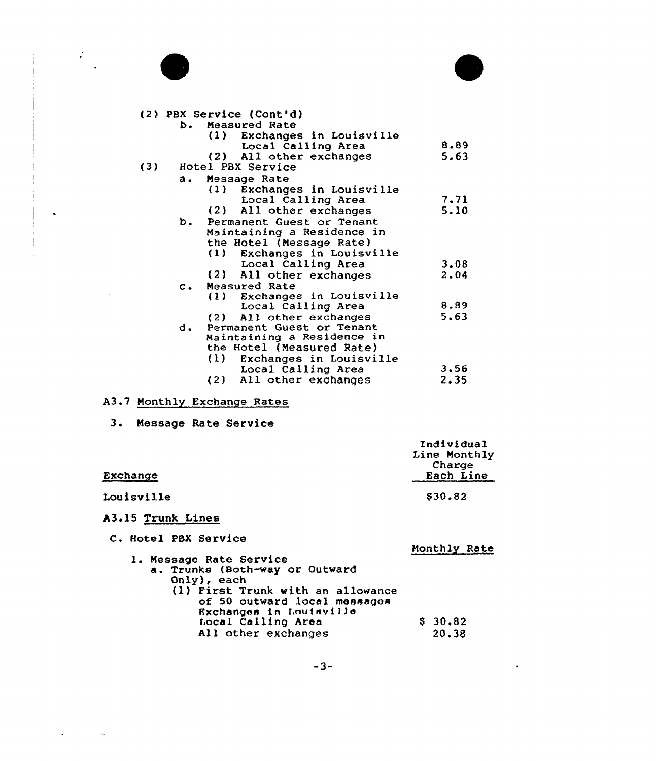

 $\label{eq:2} \frac{1}{2}\left(\frac{1}{2}\right)^2\frac{1}{2}\left(\frac{1}{2}\right)^2.$ 

 $\bullet$ 

 $\mathbf{w}_i$  is a set of  $\mathbf{w}_i$  . We set  $\mathbf{w}_i$ 



 $\bullet$  .

| (2) PBX Service (Cont'd)        |      |
|---------------------------------|------|
| <b>b.</b> Measured Rate         |      |
| Exchanges in Louisville<br>(1)  |      |
| Local Calling Area              | 8.89 |
| (2) All other exchanges         | 5.63 |
| (3)<br>Hotel PBX Service        |      |
| Message Rate<br>а.              |      |
| (1)<br>Exchanges in Louisville  |      |
| Local Calling Area              | 7.71 |
| (2) All other exchanges         | 5.10 |
| Permanent Guest or Tenant<br>b. |      |
| Maintaining a Residence in      |      |
| the Hotel (Message Rate)        |      |
| Exchanges in Louisville<br>(1)  |      |
| Local Calling Area              | 3.08 |
| (2) All other exchanges         | 2.04 |
| Measured Rate<br>$\mathbf{C}$ . |      |
| Exchanges in Louisville<br>(1)  |      |
| Local Calling Area              | 8.89 |
| (2) All other exchanges         | 5.63 |
| Permanent Guest or Tenant<br>d. |      |
| Maintaining a Residence in      |      |
| the Hotel (Measured Rate)       |      |
| (1)<br>Exchanges in Louisville  |      |
| Local Calling Area              | 3.56 |
| (2) All other exchanges         | 2.35 |
|                                 |      |

### A3.7 Monthly Exchange Rates

3. Nessage Rate Service

| Exchange                                                  | Individual<br>Line Monthly<br>Charge<br>Each Line |
|-----------------------------------------------------------|---------------------------------------------------|
| Louisville                                                | \$30.82                                           |
| A3.15 Trunk Lines                                         |                                                   |
| C. Hotel PBX Service                                      | Monthly Rate                                      |
| 1. Message Rate Service<br>a. Trunks (Both-way or Outward |                                                   |

- 
- Only), each<br>(1) First Trunk with an allowanc of 50 outward local message Exchanges in Louisville f.ocal Calling Area All other exchanges \$ 30.82 20.38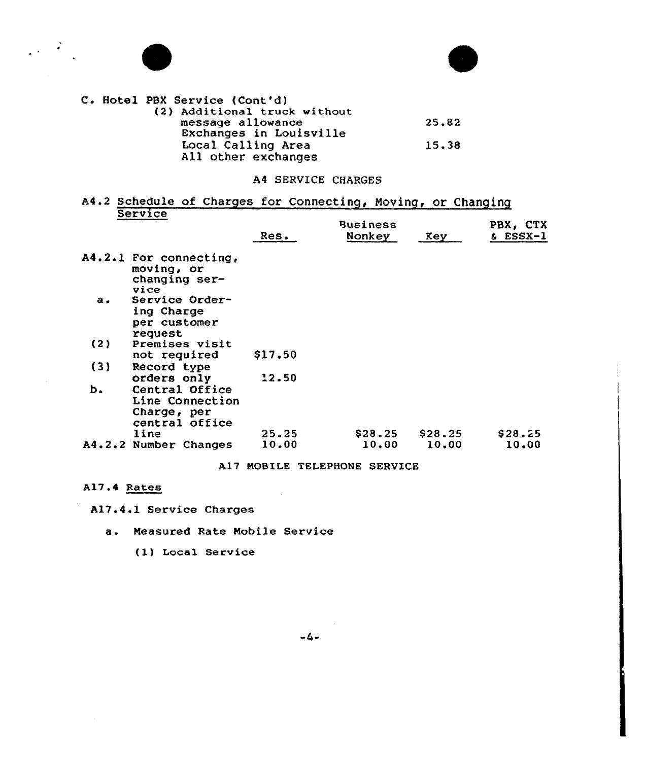

 $\label{eq:2} \frac{1}{2}\left(1-\frac{1}{2}\right)$ 



|  |  | <b>C. Hotel PBX Service (Cont'd)</b> |       |
|--|--|--------------------------------------|-------|
|  |  | (2) Additional truck without         |       |
|  |  | message allowance                    | 25.82 |
|  |  | Exchanges in Louisville              |       |
|  |  | Local Calling Area                   | 15.38 |
|  |  | All other exchanges                  |       |

### A4 SERVICE CHARGES

## A4.2 Schedule of Charges for Connecting, Moving, or Changin **Service**

|     |                                                                    | Res.    | <b>Business</b><br>Nonkey | Key     | PBX, CTX<br>& ESSX-1 |
|-----|--------------------------------------------------------------------|---------|---------------------------|---------|----------------------|
|     | A4.2.1 For connecting,<br>moving, or<br>changing ser-<br>vice      |         |                           |         |                      |
| a.  | Service Order-<br>ing Charge<br>per customer<br>request            |         |                           |         |                      |
| (2) | Premises visit                                                     |         |                           |         |                      |
|     | not required                                                       | \$17.50 |                           |         |                      |
| (3) | Record type                                                        |         |                           |         |                      |
|     | orders only                                                        | 12.50   |                           |         |                      |
| ь.  | Central Office<br>Line Connection<br>Charge, per<br>central office |         |                           |         |                      |
|     | line                                                               | 25.25   | \$28.25                   | \$28.25 | \$28.25              |
|     | A4.2.2 Number Changes                                              | 10.00   | 10.00                     | 10.00   | 10.00                |
|     |                                                                    |         |                           |         |                      |

#### A17 MOBILE TELEPHONE SERVICE

 $\sim 100$ 

A17.4 Rates

A17.4.1 Service Charges

a. Neasured Rate Nobile Service

(l) Local Service

 $-4-$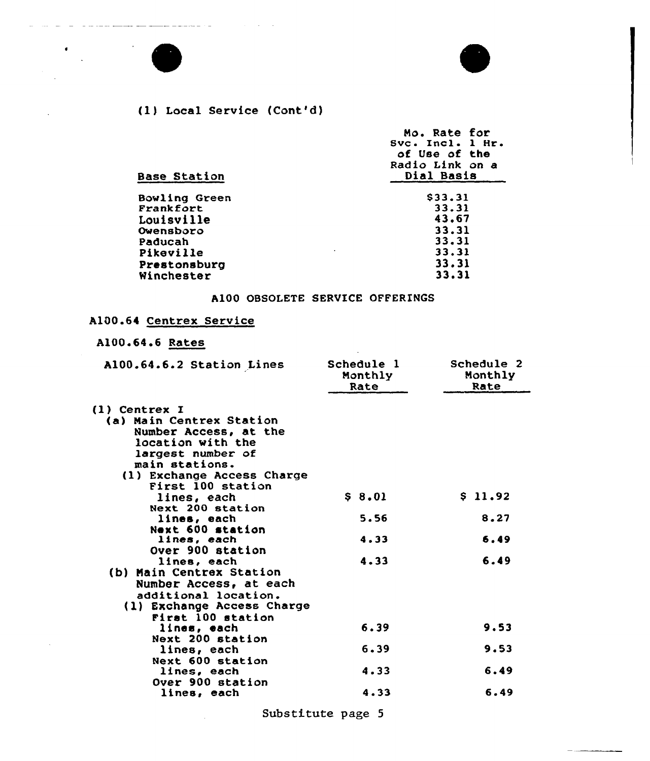# (1) Local Service (Cont'd}

\_ \_\_\_\_\_\_\_ . \_

 $\bullet$  $\mathbb{R}^2$ 

 $\mathbb{Z}$ 

 $\mathcal{L}$ 

 $\mathcal{A}$ 

| <b>Base Station</b>  | Mo. Rate for<br>Svc. Incl. 1 Hr.<br>of Use of the<br>Radio Link on a<br>Dial Basis |
|----------------------|------------------------------------------------------------------------------------|
|                      |                                                                                    |
| <b>Bowling Green</b> | \$33.31                                                                            |
| Frankfort            | 33.31                                                                              |
| Louisville           | 43.67                                                                              |
| Owensboro            | 33.31                                                                              |
| Paducah              | 33.31                                                                              |
| Pikeville            | 33.31                                                                              |
|                      | 33.31                                                                              |
| Winchester           | 33.31                                                                              |
| Prestonsburg         |                                                                                    |

## A100 OBSOLETE SERVICE OFFERINGS

### A100.64 Centrex Service

## A100.64.6 Rates

| Al00.64.6.2 Station Lines  | Schedule 1<br>Monthly<br>Rate | Schedule 2<br>Monthly<br>Rate |
|----------------------------|-------------------------------|-------------------------------|
| <b>(l) Centrex I</b>       |                               |                               |
| (a) Main Centrex Station   |                               |                               |
| Number Access, at the      |                               |                               |
| location with the          |                               |                               |
| largest number of          |                               |                               |
| main stations.             |                               |                               |
| (1) Exchange Access Charge |                               |                               |
| First 100 station          |                               |                               |
| lines, each                | \$8.01                        | \$11.92                       |
| Next 200 station           |                               |                               |
| lines, each                | 5.56                          | 8.27                          |
| Next 600 station           |                               |                               |
| lines, each                | 4.33                          | 6.49                          |
| Over 900 station           |                               |                               |
| lines, each                | 4.33                          | 6.49                          |
| (b) Main Centrex Station   |                               |                               |
| Number Access, at each     |                               |                               |
| additional location.       |                               |                               |
| (1) Exchange Access Charge |                               |                               |
| First 100 station          |                               |                               |
| lines, each                | 6.39                          | 9.53                          |
| Next 200 station           |                               |                               |
| lines, each                | 6.39                          | 9.53                          |
| Next 600 station           |                               |                               |
| lines, each                | 4.33                          | 6.49                          |
| Over 900 station           |                               |                               |
| lines, each                | 4.33                          | 6.49                          |
|                            |                               |                               |

Substitute page <sup>5</sup>